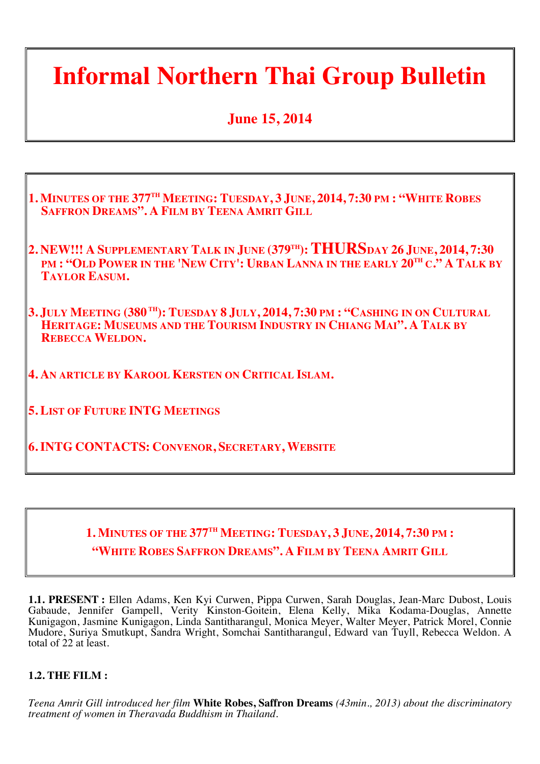### **Informal Northern Thai Group Bulletin**

#### **June 15, 2014**

| 1. MINUTES OF THE 377 <sup>TH</sup> MEETING: TUESDAY, 3 JUNE, 2014, 7:30 PM: "WHITE ROBES<br><b>SAFFRON DREAMS". A FILM BY TEENA AMRIT GILL</b>                                        |  |
|----------------------------------------------------------------------------------------------------------------------------------------------------------------------------------------|--|
| 2. NEW!!! A SUPPLEMENTARY TALK IN JUNE (379TH): THURSDAY 26 JUNE, 2014, 7:30<br>PM : "OLD POWER IN THE 'NEW CITY': URBAN LANNA IN THE EARLY 20TH C." A TALK BY<br><b>TAYLOR EASUM.</b> |  |
| 3. JULY MEETING (380TH): TUESDAY 8 JULY, 2014, 7:30 PM : "CASHING IN ON CULTURAL<br>HERITAGE: MUSEUMS AND THE TOURISM INDUSTRY IN CHIANG MAI". A TALK BY<br><b>REBECCA WELDON.</b>     |  |
| <b>4. AN ARTICLE BY KAROOL KERSTEN ON CRITICAL ISLAM.</b>                                                                                                                              |  |
| <b>5. LIST OF FUTURE INTG MEETINGS</b>                                                                                                                                                 |  |
| <b>6. INTG CONTACTS: CONVENOR, SECRETARY, WEBSITE</b>                                                                                                                                  |  |

#### **1. MINUTES OF THE 377TH MEETING: TUESDAY, 3 JUNE, 2014, 7:30 PM : "WHITE ROBES SAFFRON DREAMS". A FILM BY TEENA AMRIT GILL**

**1.1. PRESENT :** Ellen Adams, Ken Kyi Curwen, Pippa Curwen, Sarah Douglas, Jean-Marc Dubost, Louis Gabaude, Jennifer Gampell, Verity Kinston-Goitein, Elena Kelly, Mika Kodama-Douglas, Annette Kunigagon, Jasmine Kunigagon, Linda Santitharangul, Monica Meyer, Walter Meyer, Patrick Morel, Connie Mudore, Suriya Smutkupt, Sandra Wright, Somchai Santitharangul, Edward van Tuyll, Rebecca Weldon. A total of 22 at least.

#### **1.2. THE FILM :**

*Teena Amrit Gill introduced her film* **White Robes, Saffron Dreams** *(43min., 2013) about the discriminatory treatment of women in Theravada Buddhism in Thailand.*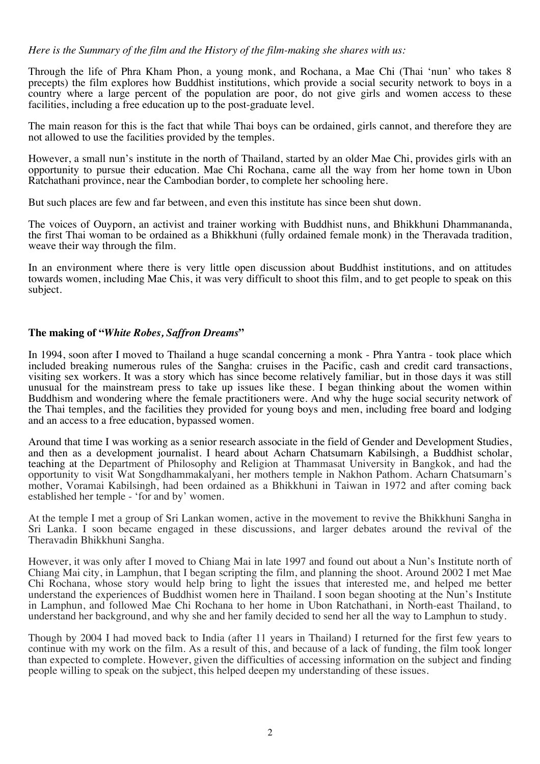#### *Here is the Summary of the film and the History of the film-making she shares with us:*

Through the life of Phra Kham Phon, a young monk, and Rochana, a Mae Chi (Thai 'nun' who takes 8 precepts) the film explores how Buddhist institutions, which provide a social security network to boys in a country where a large percent of the population are poor, do not give girls and women access to these facilities, including a free education up to the post-graduate level.

The main reason for this is the fact that while Thai boys can be ordained, girls cannot, and therefore they are not allowed to use the facilities provided by the temples.

However, a small nun's institute in the north of Thailand, started by an older Mae Chi, provides girls with an opportunity to pursue their education. Mae Chi Rochana, came all the way from her home town in Ubon Ratchathani province, near the Cambodian border, to complete her schooling here.

But such places are few and far between, and even this institute has since been shut down.

The voices of Ouyporn, an activist and trainer working with Buddhist nuns, and Bhikkhuni Dhammananda, the first Thai woman to be ordained as a Bhikkhuni (fully ordained female monk) in the Theravada tradition, weave their way through the film.

In an environment where there is very little open discussion about Buddhist institutions, and on attitudes towards women, including Mae Chis, it was very difficult to shoot this film, and to get people to speak on this subject.

#### **The making of "***White Robes, Saffron Dreams***"**

In 1994, soon after I moved to Thailand a huge scandal concerning a monk - Phra Yantra - took place which included breaking numerous rules of the Sangha: cruises in the Pacific, cash and credit card transactions, visiting sex workers. It was a story which has since become relatively familiar, but in those days it was still unusual for the mainstream press to take up issues like these. I began thinking about the women within Buddhism and wondering where the female practitioners were. And why the huge social security network of the Thai temples, and the facilities they provided for young boys and men, including free board and lodging and an access to a free education, bypassed women.

Around that time I was working as a senior research associate in the field of Gender and Development Studies, and then as a development journalist. I heard about Acharn Chatsumarn Kabilsingh, a Buddhist scholar, teaching at the Department of Philosophy and Religion at Thammasat University in Bangkok, and had the opportunity to visit Wat Songdhammakalyani, her mothers temple in Nakhon Pathom. Acharn Chatsumarn's mother, Voramai Kabilsingh, had been ordained as a Bhikkhuni in Taiwan in 1972 and after coming back established her temple - 'for and by' women.

At the temple I met a group of Sri Lankan women, active in the movement to revive the Bhikkhuni Sangha in Sri Lanka. I soon became engaged in these discussions, and larger debates around the revival of the Theravadin Bhikkhuni Sangha.

However, it was only after I moved to Chiang Mai in late 1997 and found out about a Nun's Institute north of Chiang Mai city, in Lamphun, that I began scripting the film, and planning the shoot. Around 2002 I met Mae Chi Rochana, whose story would help bring to light the issues that interested me, and helped me better understand the experiences of Buddhist women here in Thailand. I soon began shooting at the Nun's Institute in Lamphun, and followed Mae Chi Rochana to her home in Ubon Ratchathani, in North-east Thailand, to understand her background, and why she and her family decided to send her all the way to Lamphun to study.

Though by 2004 I had moved back to India (after 11 years in Thailand) I returned for the first few years to continue with my work on the film. As a result of this, and because of a lack of funding, the film took longer than expected to complete. However, given the difficulties of accessing information on the subject and finding people willing to speak on the subject, this helped deepen my understanding of these issues.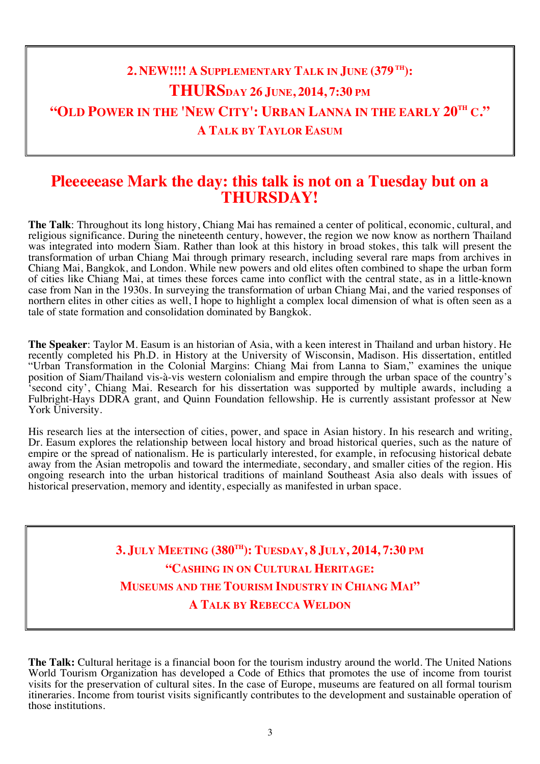#### **2. NEW!!!! A SUPPLEMENTARY TALK IN JUNE (379 TH): THURSDAY 26 JUNE, 2014, 7:30 PM "OLD POWER IN THE 'NEW CITY': URBAN LANNA IN THE EARLY 20TH C." A TALK BY TAYLOR EASUM**

#### **Pleeeeease Mark the day: this talk is not on a Tuesday but on a THURSDAY!**

**The Talk**: Throughout its long history, Chiang Mai has remained a center of political, economic, cultural, and religious significance. During the nineteenth century, however, the region we now know as northern Thailand was integrated into modern Siam. Rather than look at this history in broad stokes, this talk will present the transformation of urban Chiang Mai through primary research, including several rare maps from archives in Chiang Mai, Bangkok, and London. While new powers and old elites often combined to shape the urban form of cities like Chiang Mai, at times these forces came into conflict with the central state, as in a little-known case from Nan in the 1930s. In surveying the transformation of urban Chiang Mai, and the varied responses of northern elites in other cities as well, I hope to highlight a complex local dimension of what is often seen as a tale of state formation and consolidation dominated by Bangkok.

**The Speaker**: Taylor M. Easum is an historian of Asia, with a keen interest in Thailand and urban history. He recently completed his Ph.D. in History at the University of Wisconsin, Madison. His dissertation, entitled "Urban Transformation in the Colonial Margins: Chiang Mai from Lanna to Siam," examines the unique position of Siam/Thailand vis-à-vis western colonialism and empire through the urban space of the country's second city', Chiang Mai. Research for his dissertation was supported by multiple awards, including a Fulbright-Hays DDRA grant, and Quinn Foundation fellowship. He is currently assistant professor at New York University.

His research lies at the intersection of cities, power, and space in Asian history. In his research and writing, Dr. Easum explores the relationship between local history and broad historical queries, such as the nature of empire or the spread of nationalism. He is particularly interested, for example, in refocusing historical debate away from the Asian metropolis and toward the intermediate, secondary, and smaller cities of the region. His ongoing research into the urban historical traditions of mainland Southeast Asia also deals with issues of historical preservation, memory and identity, especially as manifested in urban space.

> **3. JULY MEETING (380TH): TUESDAY, 8 JULY, 2014, 7:30 PM "CASHING IN ON CULTURAL HERITAGE: MUSEUMS AND THE TOURISM INDUSTRY IN CHIANG MAI" A TALK BY REBECCA WELDON**

**The Talk:** Cultural heritage is a financial boon for the tourism industry around the world. The United Nations World Tourism Organization has developed a Code of Ethics that promotes the use of income from tourist visits for the preservation of cultural sites. In the case of Europe, museums are featured on all formal tourism itineraries. Income from tourist visits significantly contributes to the development and sustainable operation of those institutions.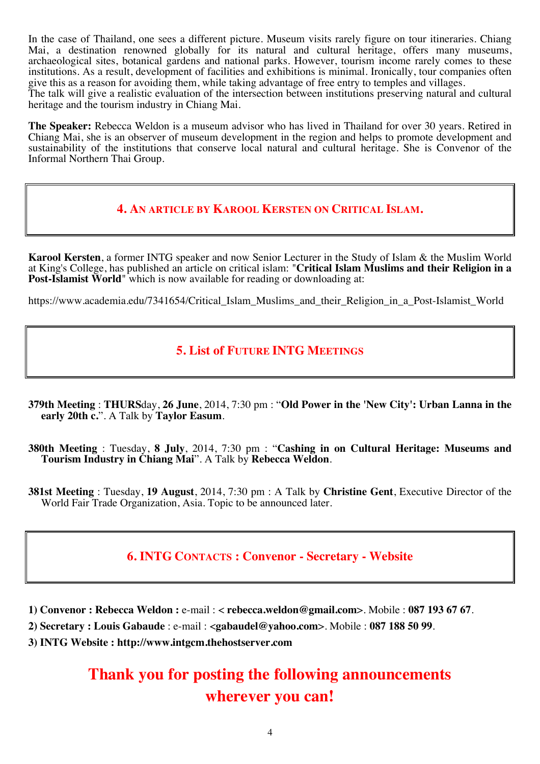In the case of Thailand, one sees a different picture. Museum visits rarely figure on tour itineraries. Chiang Mai, a destination renowned globally for its natural and cultural heritage, offers many museums, archaeological sites, botanical gardens and national parks. However, tourism income rarely comes to these institutions. As a result, development of facilities and exhibitions is minimal. Ironically, tour companies often give this as a reason for avoiding them, while taking advantage of free entry to temples and villages. The talk will give a realistic evaluation of the intersection between institutions preserving natural and cultural heritage and the tourism industry in Chiang Mai.

**The Speaker:** Rebecca Weldon is a museum advisor who has lived in Thailand for over 30 years. Retired in Chiang Mai, she is an observer of museum development in the region and helps to promote development and sustainability of the institutions that conserve local natural and cultural heritage. She is Convenor of the Informal Northern Thai Group.

#### **4. AN ARTICLE BY KAROOL KERSTEN ON CRITICAL ISLAM.**

**Karool Kersten**, a former INTG speaker and now Senior Lecturer in the Study of Islam & the Muslim World at King's College, has published an article on critical islam: "**Critical Islam Muslims and their Religion in a Post-Islamist World**" which is now available for reading or downloading at:

https://www.academia.edu/7341654/Critical Islam Muslims and their Religion in a Post-Islamist World

#### **5. List of FUTURE INTG MEETINGS**

- **379th Meeting** : **THURS**day, **26 June**, 2014, 7:30 pm : "**Old Power in the 'New City': Urban Lanna in the early 20th c.**". A Talk by **Taylor Easum**.
- **380th Meeting** : Tuesday, **8 July**, 2014, 7:30 pm : "**Cashing in on Cultural Heritage: Museums and Tourism Industry in Chiang Mai**". A Talk by **Rebecca Weldon**.
- **381st Meeting** : Tuesday, **19 August**, 2014, 7:30 pm : A Talk by **Christine Gent**, Executive Director of the World Fair Trade Organization, Asia. Topic to be announced later.

#### **6. INTG CONTACTS : Convenor - Secretary - Website**

- **1) Convenor : Rebecca Weldon :** e-mail : < **rebecca.weldon@gmail.com**>. Mobile : **087 193 67 67**.
- **2) Secretary : Louis Gabaude** : e-mail : <**gabaudel@yahoo.com**>. Mobile : **087 188 50 99**.
- **3) INTG Website : http://www.intgcm.thehostserver.com**

#### **Thank you for posting the following announcements wherever you can!**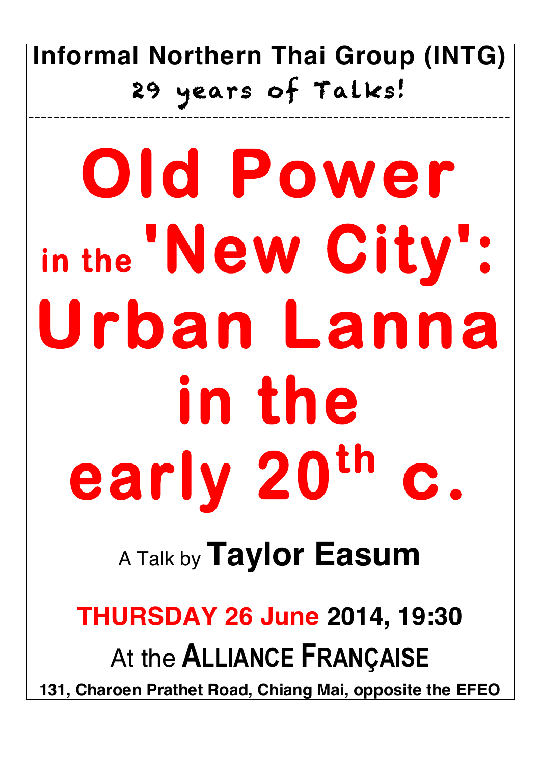## **Informal Northern Thai Group (INTG)** 29 years of Talks!

\_\_\_\_\_\_\_\_\_\_\_\_\_\_\_\_\_\_\_\_\_\_\_\_\_\_\_\_\_\_\_\_\_\_\_\_\_\_\_\_\_\_\_\_\_\_\_\_\_\_\_\_\_\_\_\_\_\_\_\_\_\_\_\_\_\_\_\_\_\_\_\_\_\_\_\_

# **Old Power in the 'New City': Urban Lanna in the early 20th c.**

# <sup>A</sup> Talk by **Taylor Easum**

## **THURSDAY 26 June 2014, 19:30** At the **ALLIANCE FRANÇAISE 131, Charoen Prathet Road, Chiang Mai, opposite the EFEO**